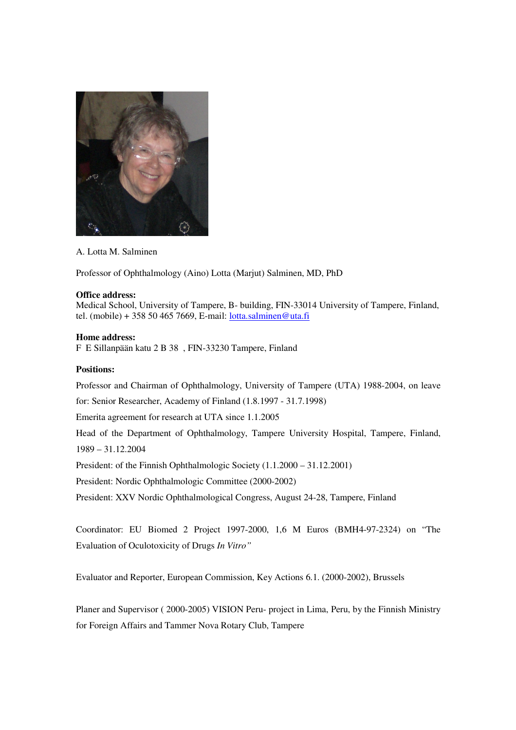

A. Lotta M. Salminen

Professor of Ophthalmology (Aino) Lotta (Marjut) Salminen, MD, PhD

## **Office address:**

Medical School, University of Tampere, B- building, FIN-33014 University of Tampere, Finland, tel. (mobile) + 358 50 465 7669, E-mail: lotta.salminen@uta.fi

## **Home address:**

F E Sillanpään katu 2 B 38 , FIN-33230 Tampere, Finland

## **Positions:**

Professor and Chairman of Ophthalmology, University of Tampere (UTA) 1988-2004, on leave

for: Senior Researcher, Academy of Finland (1.8.1997 - 31.7.1998)

Emerita agreement for research at UTA since 1.1.2005

Head of the Department of Ophthalmology, Tampere University Hospital, Tampere, Finland, 1989 – 31.12.2004

President: of the Finnish Ophthalmologic Society (1.1.2000 – 31.12.2001)

President: Nordic Ophthalmologic Committee (2000-2002)

President: XXV Nordic Ophthalmological Congress, August 24-28, Tampere, Finland

Coordinator: EU Biomed 2 Project 1997-2000, 1,6 M Euros (BMH4-97-2324) on "The Evaluation of Oculotoxicity of Drugs *In Vitro"*

Evaluator and Reporter, European Commission, Key Actions 6.1. (2000-2002), Brussels

Planer and Supervisor ( 2000-2005) VISION Peru- project in Lima, Peru, by the Finnish Ministry for Foreign Affairs and Tammer Nova Rotary Club, Tampere